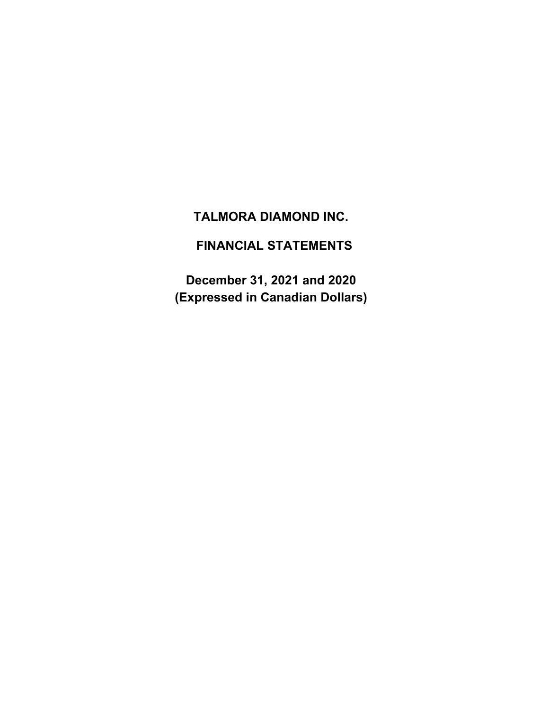# **TALMORA DIAMOND INC.**

# **FINANCIAL STATEMENTS**

**December 31, 2021 and 2020 (Expressed in Canadian Dollars)**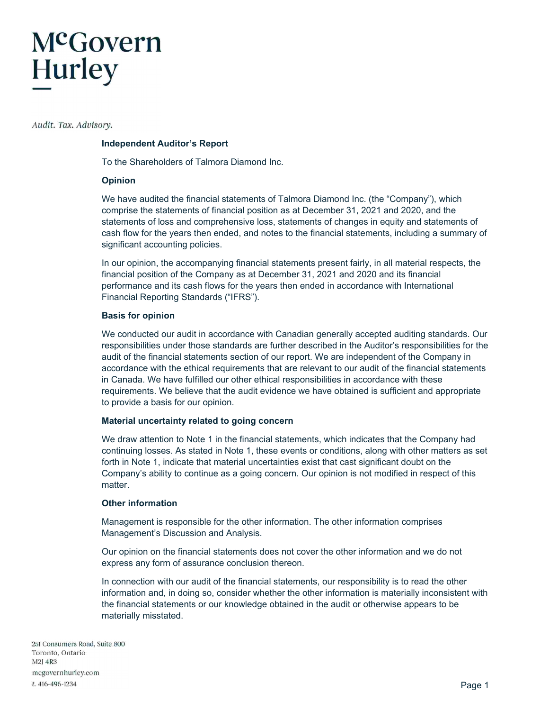# McGovern **Hurley**

Audit. Tax. Advisory.

# **Independent Auditor's Report**

To the Shareholders of Talmora Diamond Inc.

# **Opinion**

We have audited the financial statements of Talmora Diamond Inc. (the "Company"), which comprise the statements of financial position as at December 31, 2021 and 2020, and the statements of loss and comprehensive loss, statements of changes in equity and statements of cash flow for the years then ended, and notes to the financial statements, including a summary of significant accounting policies.

In our opinion, the accompanying financial statements present fairly, in all material respects, the financial position of the Company as at December 31, 2021 and 2020 and its financial performance and its cash flows for the years then ended in accordance with International Financial Reporting Standards ("IFRS").

# **Basis for opinion**

We conducted our audit in accordance with Canadian generally accepted auditing standards. Our responsibilities under those standards are further described in the Auditor's responsibilities for the audit of the financial statements section of our report. We are independent of the Company in accordance with the ethical requirements that are relevant to our audit of the financial statements in Canada. We have fulfilled our other ethical responsibilities in accordance with these requirements. We believe that the audit evidence we have obtained is sufficient and appropriate to provide a basis for our opinion.

# **Material uncertainty related to going concern**

We draw attention to Note 1 in the financial statements, which indicates that the Company had continuing losses. As stated in Note 1, these events or conditions, along with other matters as set forth in Note 1, indicate that material uncertainties exist that cast significant doubt on the Company's ability to continue as a going concern. Our opinion is not modified in respect of this matter.

# **Other information**

Management is responsible for the other information. The other information comprises Management's Discussion and Analysis.

Our opinion on the financial statements does not cover the other information and we do not express any form of assurance conclusion thereon.

In connection with our audit of the financial statements, our responsibility is to read the other information and, in doing so, consider whether the other information is materially inconsistent with the financial statements or our knowledge obtained in the audit or otherwise appears to be materially misstated.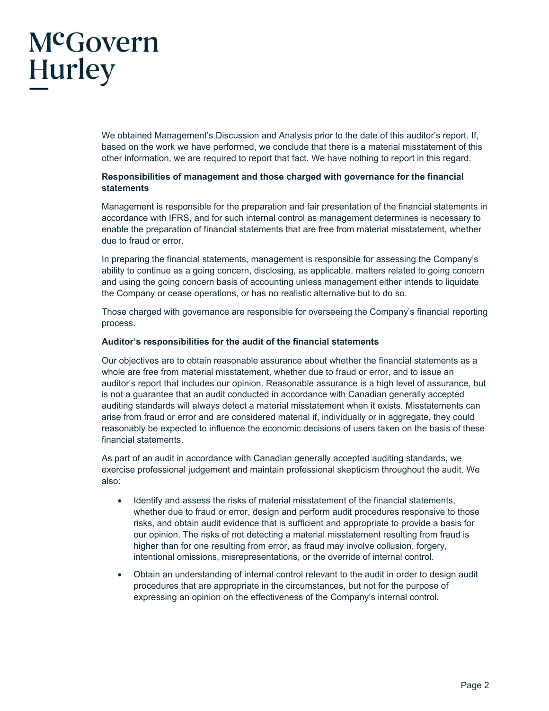# McGovern **Hurley**

We obtained Management's Discussion and Analysis prior to the date of this auditor's report. If, based on the work we have performed, we conclude that there is a material misstatement of this other information, we are required to report that fact. We have nothing to report in this regard.

# **Responsibilities of management and those charged with governance for the financial statements**

Management is responsible for the preparation and fair presentation of the financial statements in accordance with IFRS, and for such internal control as management determines is necessary to enable the preparation of financial statements that are free from material misstatement, whether due to fraud or error.

In preparing the financial statements, management is responsible for assessing the Company's ability to continue as a going concern, disclosing, as applicable, matters related to going concern and using the going concern basis of accounting unless management either intends to liquidate the Company or cease operations, or has no realistic alternative but to do so.

Those charged with governance are responsible for overseeing the Company's financial reporting process.

# **Auditor's responsibilities for the audit of the financial statements**

Our objectives are to obtain reasonable assurance about whether the financial statements as a whole are free from material misstatement, whether due to fraud or error, and to issue an auditor's report that includes our opinion. Reasonable assurance is a high level of assurance, but is not a guarantee that an audit conducted in accordance with Canadian generally accepted auditing standards will always detect a material misstatement when it exists. Misstatements can arise from fraud or error and are considered material if, individually or in aggregate, they could reasonably be expected to influence the economic decisions of users taken on the basis of these financial statements.

As part of an audit in accordance with Canadian generally accepted auditing standards, we exercise professional judgement and maintain professional skepticism throughout the audit. We also:

- Identify and assess the risks of material misstatement of the financial statements, whether due to fraud or error, design and perform audit procedures responsive to those risks, and obtain audit evidence that is sufficient and appropriate to provide a basis for our opinion. The risks of not detecting a material misstatement resulting from fraud is higher than for one resulting from error, as fraud may involve collusion, forgery, intentional omissions, misrepresentations, or the override of internal control.
- Obtain an understanding of internal control relevant to the audit in order to design audit procedures that are appropriate in the circumstances, but not for the purpose of expressing an opinion on the effectiveness of the Company's internal control.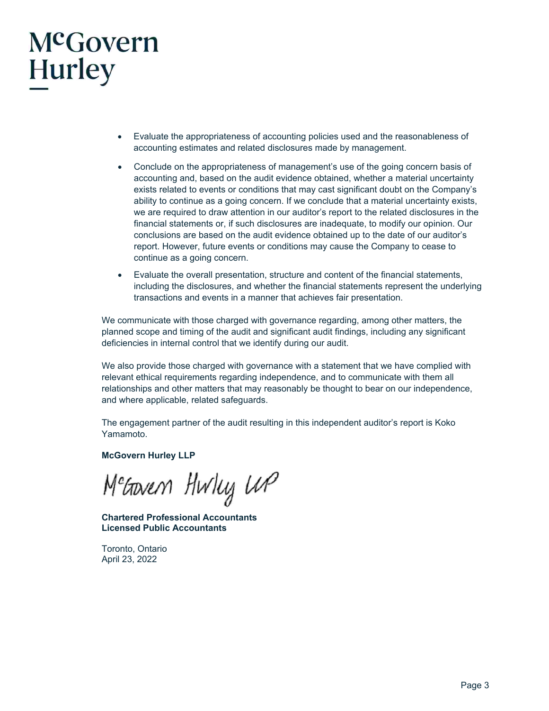# McGovern **Hurley**

- Evaluate the appropriateness of accounting policies used and the reasonableness of accounting estimates and related disclosures made by management.
- Conclude on the appropriateness of management's use of the going concern basis of accounting and, based on the audit evidence obtained, whether a material uncertainty exists related to events or conditions that may cast significant doubt on the Company's ability to continue as a going concern. If we conclude that a material uncertainty exists, we are required to draw attention in our auditor's report to the related disclosures in the financial statements or, if such disclosures are inadequate, to modify our opinion. Our conclusions are based on the audit evidence obtained up to the date of our auditor's report. However, future events or conditions may cause the Company to cease to continue as a going concern.
- Evaluate the overall presentation, structure and content of the financial statements, including the disclosures, and whether the financial statements represent the underlying transactions and events in a manner that achieves fair presentation.

We communicate with those charged with governance regarding, among other matters, the planned scope and timing of the audit and significant audit findings, including any significant deficiencies in internal control that we identify during our audit.

We also provide those charged with governance with a statement that we have complied with relevant ethical requirements regarding independence, and to communicate with them all relationships and other matters that may reasonably be thought to bear on our independence, and where applicable, related safeguards.

The engagement partner of the audit resulting in this independent auditor's report is Koko Yamamoto.

**McGovern Hurley LLP**

Mcawen Hwlug WP

**Chartered Professional Accountants Licensed Public Accountants**

Toronto, Ontario April 23, 2022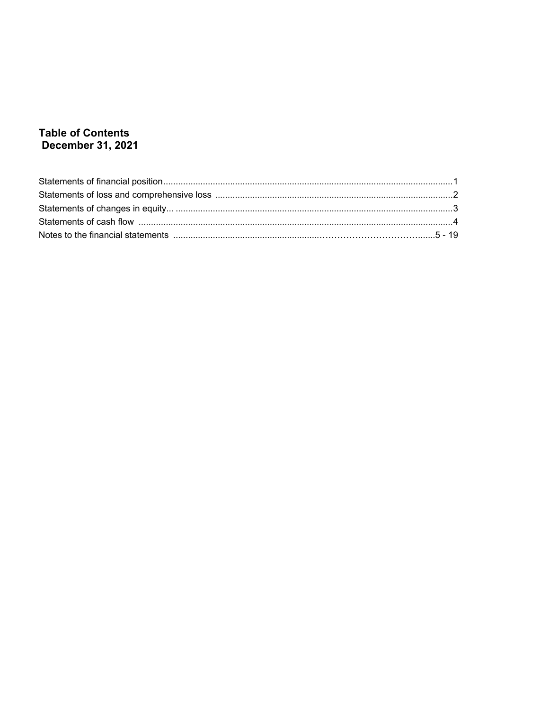# **Table of Contents December 31, 2021**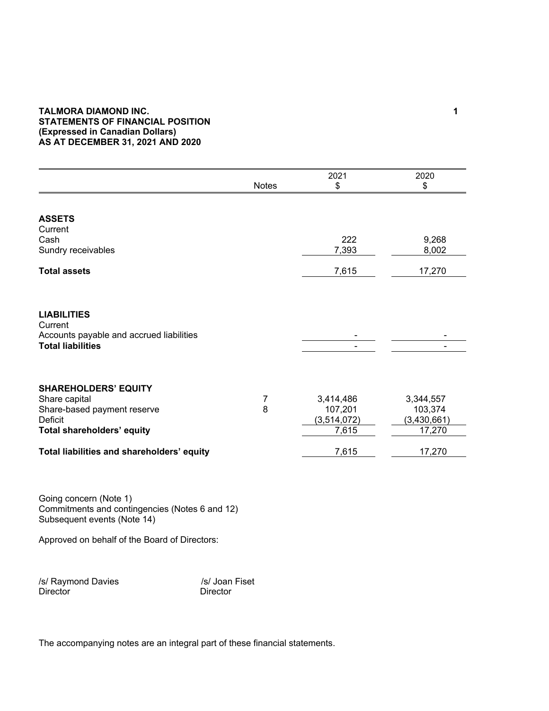# **TALMORA DIAMOND INC. 1 STATEMENTS OF FINANCIAL POSITION (Expressed in Canadian Dollars) AS AT DECEMBER 31, 2021 AND 2020**

|                                                | <b>Notes</b> | 2021<br>\$           | 2020<br>\$            |
|------------------------------------------------|--------------|----------------------|-----------------------|
|                                                |              |                      |                       |
| <b>ASSETS</b>                                  |              |                      |                       |
| Current<br>Cash                                |              | 222                  | 9,268                 |
| Sundry receivables                             |              | 7,393                | 8,002                 |
|                                                |              |                      |                       |
| <b>Total assets</b>                            |              | 7,615                | 17,270                |
|                                                |              |                      |                       |
|                                                |              |                      |                       |
| <b>LIABILITIES</b><br>Current                  |              |                      |                       |
| Accounts payable and accrued liabilities       |              |                      |                       |
| <b>Total liabilities</b>                       |              |                      |                       |
|                                                |              |                      |                       |
|                                                |              |                      |                       |
| <b>SHAREHOLDERS' EQUITY</b>                    |              |                      |                       |
| Share capital                                  | 7            | 3,414,486            | 3,344,557             |
| Share-based payment reserve<br><b>Deficit</b>  | 8            | 107,201              | 103,374               |
| Total shareholders' equity                     |              | (3,514,072)<br>7,615 | (3,430,661)<br>17,270 |
|                                                |              |                      |                       |
| Total liabilities and shareholders' equity     |              | 7,615                | 17,270                |
|                                                |              |                      |                       |
|                                                |              |                      |                       |
| Going concern (Note 1)                         |              |                      |                       |
| Commitments and contingencies (Notes 6 and 12) |              |                      |                       |

Subsequent events (Note 14)

Approved on behalf of the Board of Directors:

/s/ Raymond Davies<br>
Director birector<br>
Director Director

The accompanying notes are an integral part of these financial statements.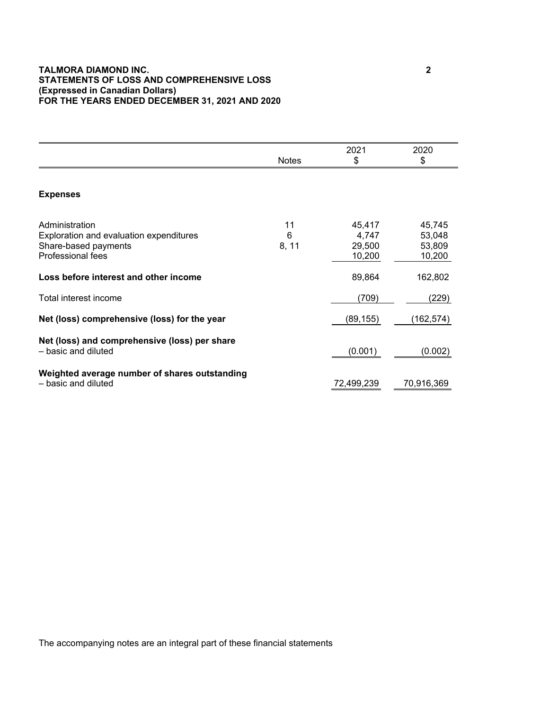# **TALMORA DIAMOND INC. 2 STATEMENTS OF LOSS AND COMPREHENSIVE LOSS (Expressed in Canadian Dollars) FOR THE YEARS ENDED DECEMBER 31, 2021 AND 2020**

|                                                                      |              | 2021            | 2020             |
|----------------------------------------------------------------------|--------------|-----------------|------------------|
|                                                                      | <b>Notes</b> | \$              | \$               |
|                                                                      |              |                 |                  |
| <b>Expenses</b>                                                      |              |                 |                  |
| Administration                                                       | 11           | 45,417          | 45,745           |
| Exploration and evaluation expenditures<br>Share-based payments      | 6<br>8, 11   | 4,747<br>29,500 | 53,048<br>53,809 |
| Professional fees                                                    |              | 10,200          | 10,200           |
|                                                                      |              |                 |                  |
| Loss before interest and other income                                |              | 89,864          | 162,802          |
| Total interest income                                                |              | (709)           | (229)            |
| Net (loss) comprehensive (loss) for the year                         |              | (89,155)        | (162,574)        |
| Net (loss) and comprehensive (loss) per share<br>- basic and diluted |              | (0.001)         | (0.002)          |
| Weighted average number of shares outstanding<br>- basic and diluted |              | 72,499,239      | 70,916,369       |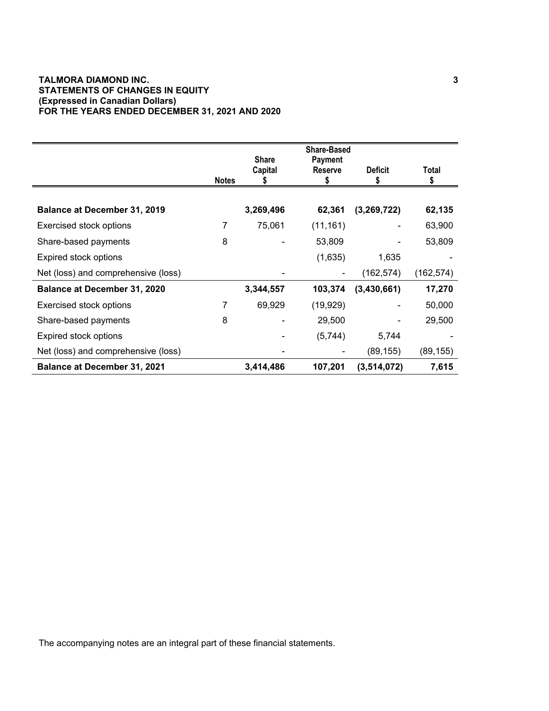# **TALMORA DIAMOND INC. 3 STATEMENTS OF CHANGES IN EQUITY (Expressed in Canadian Dollars) FOR THE YEARS ENDED DECEMBER 31, 2021 AND 2020**

|                                     |              | <b>Share</b> | <b>Share-Based</b><br>Payment |                     |            |
|-------------------------------------|--------------|--------------|-------------------------------|---------------------|------------|
|                                     | <b>Notes</b> | Capital      | <b>Reserve</b>                | <b>Deficit</b><br>S | Total<br>S |
|                                     |              |              |                               |                     |            |
| <b>Balance at December 31, 2019</b> |              | 3,269,496    | 62,361                        | (3,269,722)         | 62,135     |
| Exercised stock options             | 7            | 75,061       | (11, 161)                     |                     | 63,900     |
| Share-based payments                | 8            |              | 53,809                        |                     | 53,809     |
| Expired stock options               |              |              | (1,635)                       | 1,635               |            |
| Net (loss) and comprehensive (loss) |              |              | $\blacksquare$                | (162, 574)          | (162, 574) |
| <b>Balance at December 31, 2020</b> |              | 3,344,557    | 103,374                       | (3,430,661)         | 17,270     |
| <b>Exercised stock options</b>      | 7            | 69,929       | (19, 929)                     |                     | 50,000     |
| Share-based payments                | 8            |              | 29,500                        |                     | 29,500     |
| Expired stock options               |              |              | (5,744)                       | 5,744               |            |
| Net (loss) and comprehensive (loss) |              |              | ٠                             | (89, 155)           | (89, 155)  |
| <b>Balance at December 31, 2021</b> |              | 3,414,486    | 107,201                       | (3,514,072)         | 7,615      |

The accompanying notes are an integral part of these financial statements.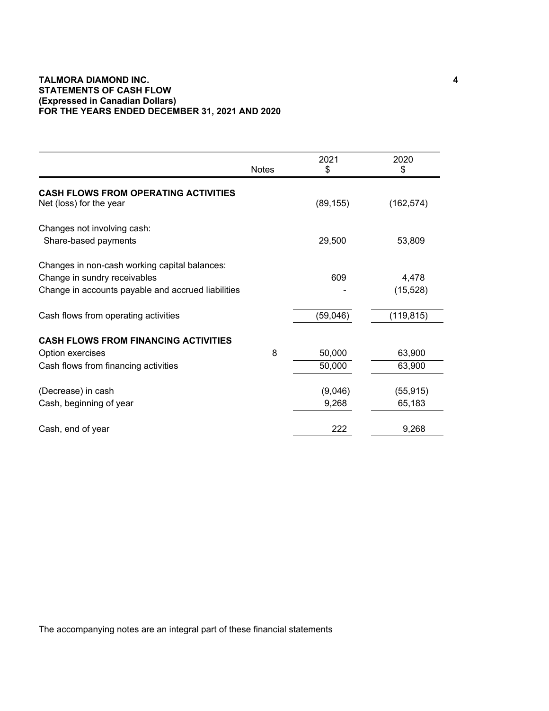# **TALMORA DIAMOND INC. 4 STATEMENTS OF CASH FLOW (Expressed in Canadian Dollars) FOR THE YEARS ENDED DECEMBER 31, 2021 AND 2020**

|                                                    |              | 2021      | 2020       |
|----------------------------------------------------|--------------|-----------|------------|
|                                                    | <b>Notes</b> | \$        | \$         |
| <b>CASH FLOWS FROM OPERATING ACTIVITIES</b>        |              |           |            |
| Net (loss) for the year                            |              | (89, 155) | (162, 574) |
| Changes not involving cash:                        |              |           |            |
| Share-based payments                               |              | 29,500    | 53,809     |
| Changes in non-cash working capital balances:      |              |           |            |
| Change in sundry receivables                       |              | 609       | 4,478      |
| Change in accounts payable and accrued liabilities |              |           | (15, 528)  |
| Cash flows from operating activities               |              | (59,046)  | (119, 815) |
| <b>CASH FLOWS FROM FINANCING ACTIVITIES</b>        |              |           |            |
| Option exercises                                   | 8            | 50,000    | 63,900     |
| Cash flows from financing activities               |              | 50,000    | 63,900     |
| (Decrease) in cash                                 |              | (9,046)   | (55, 915)  |
| Cash, beginning of year                            |              | 9,268     | 65,183     |
| Cash, end of year                                  |              | 222       | 9,268      |

The accompanying notes are an integral part of these financial statements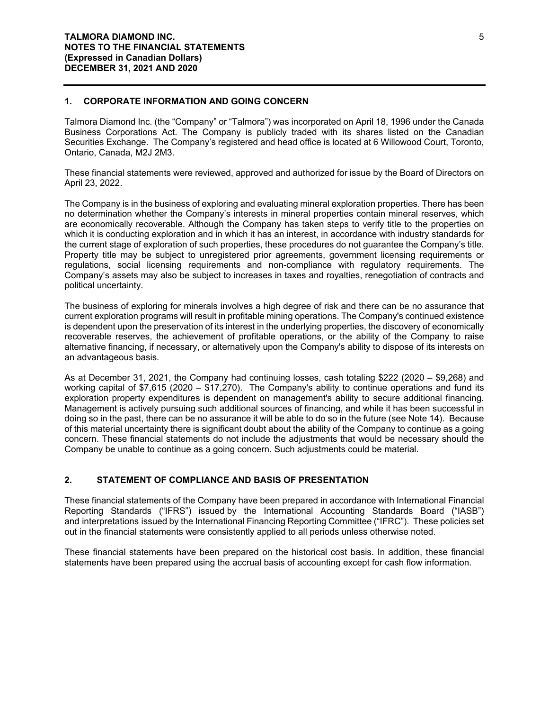# **1. CORPORATE INFORMATION AND GOING CONCERN**

Talmora Diamond Inc. (the "Company" or "Talmora") was incorporated on April 18, 1996 under the Canada Business Corporations Act. The Company is publicly traded with its shares listed on the Canadian Securities Exchange. The Company's registered and head office is located at 6 Willowood Court, Toronto, Ontario, Canada, M2J 2M3.

These financial statements were reviewed, approved and authorized for issue by the Board of Directors on April 23, 2022.

The Company is in the business of exploring and evaluating mineral exploration properties. There has been no determination whether the Company's interests in mineral properties contain mineral reserves, which are economically recoverable. Although the Company has taken steps to verify title to the properties on which it is conducting exploration and in which it has an interest, in accordance with industry standards for the current stage of exploration of such properties, these procedures do not guarantee the Company's title. Property title may be subject to unregistered prior agreements, government licensing requirements or regulations, social licensing requirements and non-compliance with regulatory requirements. The Company's assets may also be subject to increases in taxes and royalties, renegotiation of contracts and political uncertainty.

The business of exploring for minerals involves a high degree of risk and there can be no assurance that current exploration programs will result in profitable mining operations. The Company's continued existence is dependent upon the preservation of its interest in the underlying properties, the discovery of economically recoverable reserves, the achievement of profitable operations, or the ability of the Company to raise alternative financing, if necessary, or alternatively upon the Company's ability to dispose of its interests on an advantageous basis.

As at December 31, 2021, the Company had continuing losses, cash totaling \$222 (2020 – \$9,268) and working capital of \$7,615 (2020 – \$17,270). The Company's ability to continue operations and fund its exploration property expenditures is dependent on management's ability to secure additional financing. Management is actively pursuing such additional sources of financing, and while it has been successful in doing so in the past, there can be no assurance it will be able to do so in the future (see Note 14). Because of this material uncertainty there is significant doubt about the ability of the Company to continue as a going concern. These financial statements do not include the adjustments that would be necessary should the Company be unable to continue as a going concern. Such adjustments could be material.

# **2. STATEMENT OF COMPLIANCE AND BASIS OF PRESENTATION**

These financial statements of the Company have been prepared in accordance with International Financial Reporting Standards ("IFRS") issued by the International Accounting Standards Board ("IASB") and interpretations issued by the International Financing Reporting Committee ("IFRC"). These policies set out in the financial statements were consistently applied to all periods unless otherwise noted.

These financial statements have been prepared on the historical cost basis. In addition, these financial statements have been prepared using the accrual basis of accounting except for cash flow information.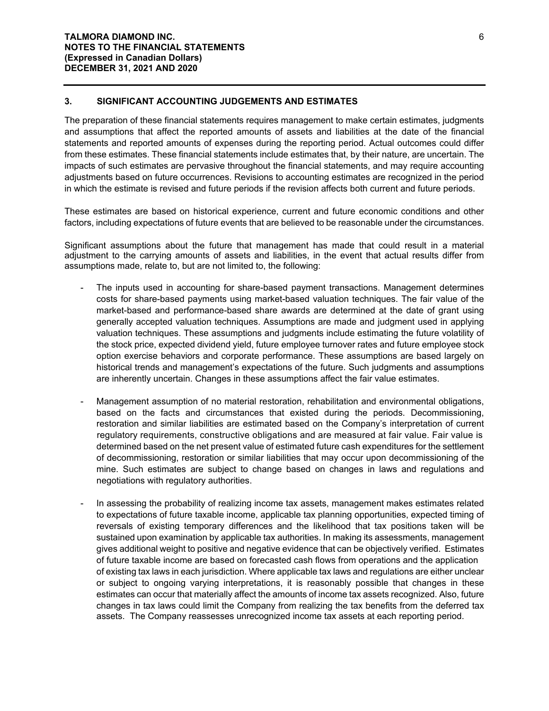# **3. SIGNIFICANT ACCOUNTING JUDGEMENTS AND ESTIMATES**

The preparation of these financial statements requires management to make certain estimates, judgments and assumptions that affect the reported amounts of assets and liabilities at the date of the financial statements and reported amounts of expenses during the reporting period. Actual outcomes could differ from these estimates. These financial statements include estimates that, by their nature, are uncertain. The impacts of such estimates are pervasive throughout the financial statements, and may require accounting adjustments based on future occurrences. Revisions to accounting estimates are recognized in the period in which the estimate is revised and future periods if the revision affects both current and future periods.

These estimates are based on historical experience, current and future economic conditions and other factors, including expectations of future events that are believed to be reasonable under the circumstances.

Significant assumptions about the future that management has made that could result in a material adjustment to the carrying amounts of assets and liabilities, in the event that actual results differ from assumptions made, relate to, but are not limited to, the following:

- The inputs used in accounting for share-based payment transactions. Management determines costs for share-based payments using market-based valuation techniques. The fair value of the market-based and performance-based share awards are determined at the date of grant using generally accepted valuation techniques. Assumptions are made and judgment used in applying valuation techniques. These assumptions and judgments include estimating the future volatility of the stock price, expected dividend yield, future employee turnover rates and future employee stock option exercise behaviors and corporate performance. These assumptions are based largely on historical trends and management's expectations of the future. Such judgments and assumptions are inherently uncertain. Changes in these assumptions affect the fair value estimates.
- Management assumption of no material restoration, rehabilitation and environmental obligations, based on the facts and circumstances that existed during the periods. Decommissioning, restoration and similar liabilities are estimated based on the Company's interpretation of current regulatory requirements, constructive obligations and are measured at fair value. Fair value is determined based on the net present value of estimated future cash expenditures for the settlement of decommissioning, restoration or similar liabilities that may occur upon decommissioning of the mine. Such estimates are subject to change based on changes in laws and regulations and negotiations with regulatory authorities.
- In assessing the probability of realizing income tax assets, management makes estimates related to expectations of future taxable income, applicable tax planning opportunities, expected timing of reversals of existing temporary differences and the likelihood that tax positions taken will be sustained upon examination by applicable tax authorities. In making its assessments, management gives additional weight to positive and negative evidence that can be objectively verified. Estimates of future taxable income are based on forecasted cash flows from operations and the application of existing tax laws in each jurisdiction. Where applicable tax laws and regulations are either unclear or subject to ongoing varying interpretations, it is reasonably possible that changes in these estimates can occur that materially affect the amounts of income tax assets recognized. Also, future changes in tax laws could limit the Company from realizing the tax benefits from the deferred tax assets. The Company reassesses unrecognized income tax assets at each reporting period.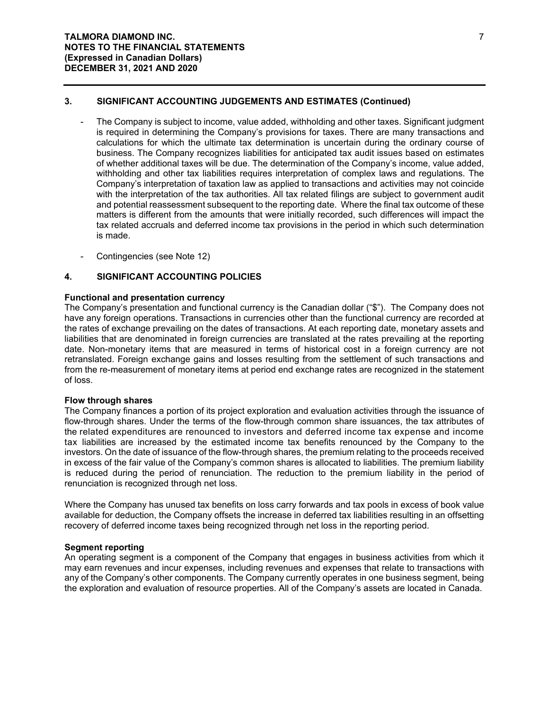# **3. SIGNIFICANT ACCOUNTING JUDGEMENTS AND ESTIMATES (Continued)**

- The Company is subject to income, value added, withholding and other taxes. Significant judgment is required in determining the Company's provisions for taxes. There are many transactions and calculations for which the ultimate tax determination is uncertain during the ordinary course of business. The Company recognizes liabilities for anticipated tax audit issues based on estimates of whether additional taxes will be due. The determination of the Company's income, value added, withholding and other tax liabilities requires interpretation of complex laws and regulations. The Company's interpretation of taxation law as applied to transactions and activities may not coincide with the interpretation of the tax authorities. All tax related filings are subject to government audit and potential reassessment subsequent to the reporting date. Where the final tax outcome of these matters is different from the amounts that were initially recorded, such differences will impact the tax related accruals and deferred income tax provisions in the period in which such determination is made.
- Contingencies (see Note 12)

# **4. SIGNIFICANT ACCOUNTING POLICIES**

#### **Functional and presentation currency**

The Company's presentation and functional currency is the Canadian dollar ("\$"). The Company does not have any foreign operations. Transactions in currencies other than the functional currency are recorded at the rates of exchange prevailing on the dates of transactions. At each reporting date, monetary assets and liabilities that are denominated in foreign currencies are translated at the rates prevailing at the reporting date. Non-monetary items that are measured in terms of historical cost in a foreign currency are not retranslated. Foreign exchange gains and losses resulting from the settlement of such transactions and from the re-measurement of monetary items at period end exchange rates are recognized in the statement of loss.

#### **Flow through shares**

The Company finances a portion of its project exploration and evaluation activities through the issuance of flow-through shares. Under the terms of the flow-through common share issuances, the tax attributes of the related expenditures are renounced to investors and deferred income tax expense and income tax liabilities are increased by the estimated income tax benefits renounced by the Company to the investors. On the date of issuance of the flow-through shares, the premium relating to the proceeds received in excess of the fair value of the Company's common shares is allocated to liabilities. The premium liability is reduced during the period of renunciation. The reduction to the premium liability in the period of renunciation is recognized through net loss.

Where the Company has unused tax benefits on loss carry forwards and tax pools in excess of book value available for deduction, the Company offsets the increase in deferred tax liabilities resulting in an offsetting recovery of deferred income taxes being recognized through net loss in the reporting period.

# **Segment reporting**

An operating segment is a component of the Company that engages in business activities from which it may earn revenues and incur expenses, including revenues and expenses that relate to transactions with any of the Company's other components. The Company currently operates in one business segment, being the exploration and evaluation of resource properties. All of the Company's assets are located in Canada.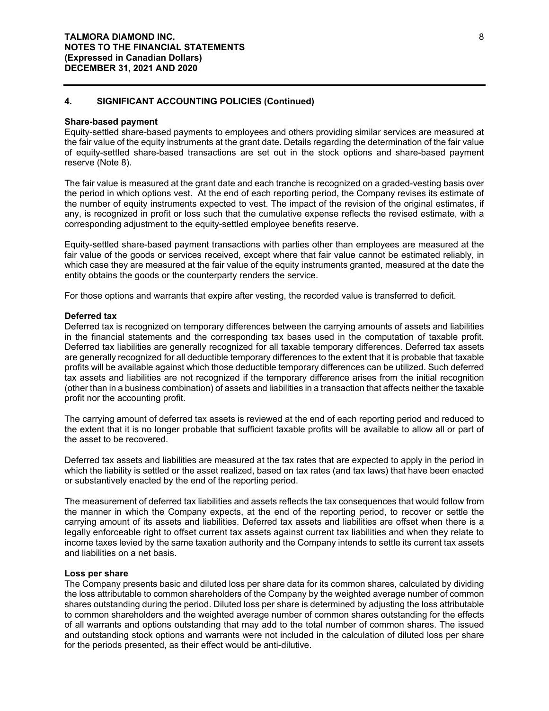#### **Share-based payment**

Equity-settled share-based payments to employees and others providing similar services are measured at the fair value of the equity instruments at the grant date. Details regarding the determination of the fair value of equity-settled share-based transactions are set out in the stock options and share-based payment reserve (Note 8).

The fair value is measured at the grant date and each tranche is recognized on a graded-vesting basis over the period in which options vest. At the end of each reporting period, the Company revises its estimate of the number of equity instruments expected to vest. The impact of the revision of the original estimates, if any, is recognized in profit or loss such that the cumulative expense reflects the revised estimate, with a corresponding adjustment to the equity-settled employee benefits reserve.

Equity-settled share-based payment transactions with parties other than employees are measured at the fair value of the goods or services received, except where that fair value cannot be estimated reliably, in which case they are measured at the fair value of the equity instruments granted, measured at the date the entity obtains the goods or the counterparty renders the service.

For those options and warrants that expire after vesting, the recorded value is transferred to deficit.

#### **Deferred tax**

Deferred tax is recognized on temporary differences between the carrying amounts of assets and liabilities in the financial statements and the corresponding tax bases used in the computation of taxable profit. Deferred tax liabilities are generally recognized for all taxable temporary differences. Deferred tax assets are generally recognized for all deductible temporary differences to the extent that it is probable that taxable profits will be available against which those deductible temporary differences can be utilized. Such deferred tax assets and liabilities are not recognized if the temporary difference arises from the initial recognition (other than in a business combination) of assets and liabilities in a transaction that affects neither the taxable profit nor the accounting profit.

The carrying amount of deferred tax assets is reviewed at the end of each reporting period and reduced to the extent that it is no longer probable that sufficient taxable profits will be available to allow all or part of the asset to be recovered.

Deferred tax assets and liabilities are measured at the tax rates that are expected to apply in the period in which the liability is settled or the asset realized, based on tax rates (and tax laws) that have been enacted or substantively enacted by the end of the reporting period.

The measurement of deferred tax liabilities and assets reflects the tax consequences that would follow from the manner in which the Company expects, at the end of the reporting period, to recover or settle the carrying amount of its assets and liabilities. Deferred tax assets and liabilities are offset when there is a legally enforceable right to offset current tax assets against current tax liabilities and when they relate to income taxes levied by the same taxation authority and the Company intends to settle its current tax assets and liabilities on a net basis.

### **Loss per share**

The Company presents basic and diluted loss per share data for its common shares, calculated by dividing the loss attributable to common shareholders of the Company by the weighted average number of common shares outstanding during the period. Diluted loss per share is determined by adjusting the loss attributable to common shareholders and the weighted average number of common shares outstanding for the effects of all warrants and options outstanding that may add to the total number of common shares. The issued and outstanding stock options and warrants were not included in the calculation of diluted loss per share for the periods presented, as their effect would be anti-dilutive.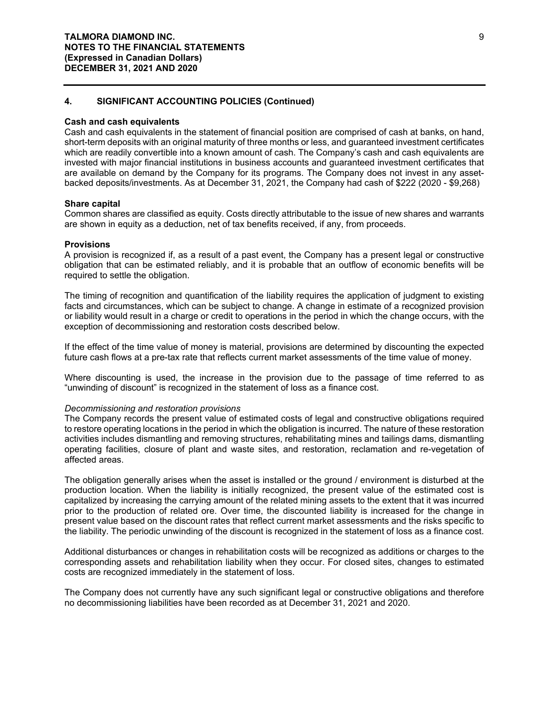#### **Cash and cash equivalents**

Cash and cash equivalents in the statement of financial position are comprised of cash at banks, on hand, short-term deposits with an original maturity of three months or less, and guaranteed investment certificates which are readily convertible into a known amount of cash. The Company's cash and cash equivalents are invested with major financial institutions in business accounts and guaranteed investment certificates that are available on demand by the Company for its programs. The Company does not invest in any assetbacked deposits/investments. As at December 31, 2021, the Company had cash of \$222 (2020 - \$9,268)

#### **Share capital**

Common shares are classified as equity. Costs directly attributable to the issue of new shares and warrants are shown in equity as a deduction, net of tax benefits received, if any, from proceeds.

#### **Provisions**

A provision is recognized if, as a result of a past event, the Company has a present legal or constructive obligation that can be estimated reliably, and it is probable that an outflow of economic benefits will be required to settle the obligation.

The timing of recognition and quantification of the liability requires the application of judgment to existing facts and circumstances, which can be subject to change. A change in estimate of a recognized provision or liability would result in a charge or credit to operations in the period in which the change occurs, with the exception of decommissioning and restoration costs described below.

If the effect of the time value of money is material, provisions are determined by discounting the expected future cash flows at a pre-tax rate that reflects current market assessments of the time value of money.

Where discounting is used, the increase in the provision due to the passage of time referred to as "unwinding of discount" is recognized in the statement of loss as a finance cost.

#### *Decommissioning and restoration provisions*

The Company records the present value of estimated costs of legal and constructive obligations required to restore operating locations in the period in which the obligation is incurred. The nature of these restoration activities includes dismantling and removing structures, rehabilitating mines and tailings dams, dismantling operating facilities, closure of plant and waste sites, and restoration, reclamation and re-vegetation of affected areas.

The obligation generally arises when the asset is installed or the ground / environment is disturbed at the production location. When the liability is initially recognized, the present value of the estimated cost is capitalized by increasing the carrying amount of the related mining assets to the extent that it was incurred prior to the production of related ore. Over time, the discounted liability is increased for the change in present value based on the discount rates that reflect current market assessments and the risks specific to the liability. The periodic unwinding of the discount is recognized in the statement of loss as a finance cost.

Additional disturbances or changes in rehabilitation costs will be recognized as additions or charges to the corresponding assets and rehabilitation liability when they occur. For closed sites, changes to estimated costs are recognized immediately in the statement of loss.

The Company does not currently have any such significant legal or constructive obligations and therefore no decommissioning liabilities have been recorded as at December 31, 2021 and 2020.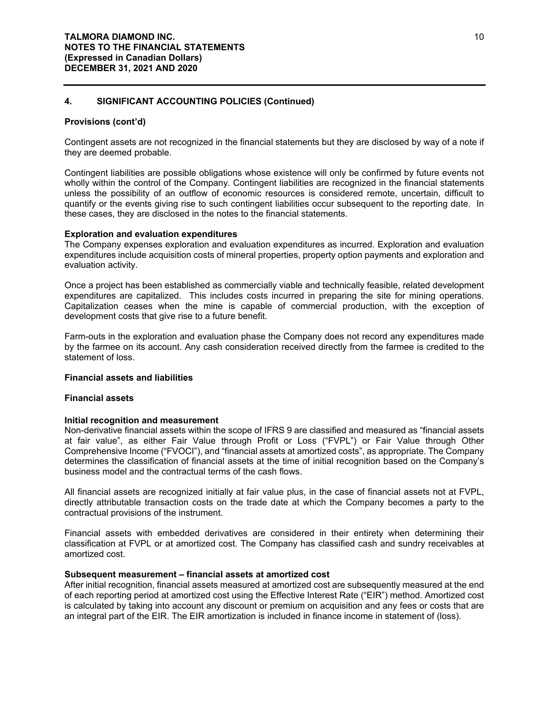# **Provisions (cont'd)**

Contingent assets are not recognized in the financial statements but they are disclosed by way of a note if they are deemed probable.

Contingent liabilities are possible obligations whose existence will only be confirmed by future events not wholly within the control of the Company. Contingent liabilities are recognized in the financial statements unless the possibility of an outflow of economic resources is considered remote, uncertain, difficult to quantify or the events giving rise to such contingent liabilities occur subsequent to the reporting date. In these cases, they are disclosed in the notes to the financial statements.

#### **Exploration and evaluation expenditures**

The Company expenses exploration and evaluation expenditures as incurred. Exploration and evaluation expenditures include acquisition costs of mineral properties, property option payments and exploration and evaluation activity.

Once a project has been established as commercially viable and technically feasible, related development expenditures are capitalized. This includes costs incurred in preparing the site for mining operations. Capitalization ceases when the mine is capable of commercial production, with the exception of development costs that give rise to a future benefit.

Farm-outs in the exploration and evaluation phase the Company does not record any expenditures made by the farmee on its account. Any cash consideration received directly from the farmee is credited to the statement of loss.

#### **Financial assets and liabilities**

#### **Financial assets**

#### **Initial recognition and measurement**

Non-derivative financial assets within the scope of IFRS 9 are classified and measured as "financial assets at fair value", as either Fair Value through Profit or Loss ("FVPL") or Fair Value through Other Comprehensive Income ("FVOCI"), and "financial assets at amortized costs", as appropriate. The Company determines the classification of financial assets at the time of initial recognition based on the Company's business model and the contractual terms of the cash flows.

All financial assets are recognized initially at fair value plus, in the case of financial assets not at FVPL, directly attributable transaction costs on the trade date at which the Company becomes a party to the contractual provisions of the instrument.

Financial assets with embedded derivatives are considered in their entirety when determining their classification at FVPL or at amortized cost. The Company has classified cash and sundry receivables at amortized cost.

### **Subsequent measurement – financial assets at amortized cost**

After initial recognition, financial assets measured at amortized cost are subsequently measured at the end of each reporting period at amortized cost using the Effective Interest Rate ("EIR") method. Amortized cost is calculated by taking into account any discount or premium on acquisition and any fees or costs that are an integral part of the EIR. The EIR amortization is included in finance income in statement of (loss).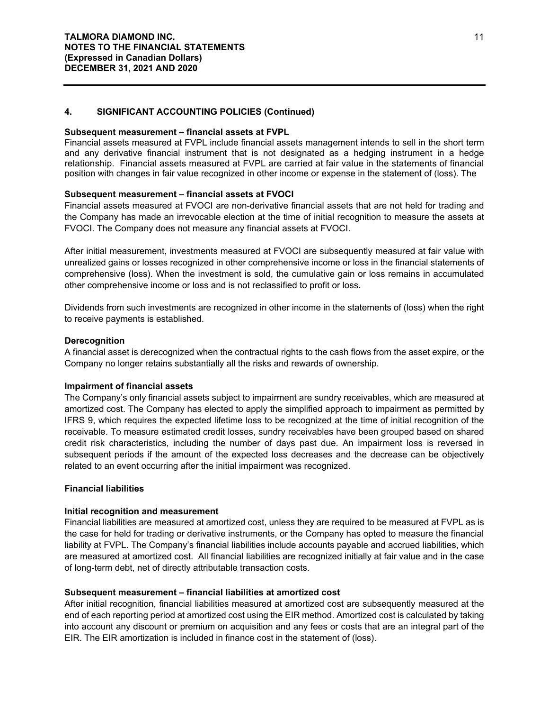#### **Subsequent measurement – financial assets at FVPL**

Financial assets measured at FVPL include financial assets management intends to sell in the short term and any derivative financial instrument that is not designated as a hedging instrument in a hedge relationship. Financial assets measured at FVPL are carried at fair value in the statements of financial position with changes in fair value recognized in other income or expense in the statement of (loss). The

# **Subsequent measurement – financial assets at FVOCI**

Financial assets measured at FVOCI are non-derivative financial assets that are not held for trading and the Company has made an irrevocable election at the time of initial recognition to measure the assets at FVOCI. The Company does not measure any financial assets at FVOCI.

After initial measurement, investments measured at FVOCI are subsequently measured at fair value with unrealized gains or losses recognized in other comprehensive income or loss in the financial statements of comprehensive (loss). When the investment is sold, the cumulative gain or loss remains in accumulated other comprehensive income or loss and is not reclassified to profit or loss.

Dividends from such investments are recognized in other income in the statements of (loss) when the right to receive payments is established.

#### **Derecognition**

A financial asset is derecognized when the contractual rights to the cash flows from the asset expire, or the Company no longer retains substantially all the risks and rewards of ownership.

#### **Impairment of financial assets**

The Company's only financial assets subject to impairment are sundry receivables, which are measured at amortized cost. The Company has elected to apply the simplified approach to impairment as permitted by IFRS 9, which requires the expected lifetime loss to be recognized at the time of initial recognition of the receivable. To measure estimated credit losses, sundry receivables have been grouped based on shared credit risk characteristics, including the number of days past due. An impairment loss is reversed in subsequent periods if the amount of the expected loss decreases and the decrease can be objectively related to an event occurring after the initial impairment was recognized.

# **Financial liabilities**

# **Initial recognition and measurement**

Financial liabilities are measured at amortized cost, unless they are required to be measured at FVPL as is the case for held for trading or derivative instruments, or the Company has opted to measure the financial liability at FVPL. The Company's financial liabilities include accounts payable and accrued liabilities, which are measured at amortized cost. All financial liabilities are recognized initially at fair value and in the case of long-term debt, net of directly attributable transaction costs.

# **Subsequent measurement – financial liabilities at amortized cost**

After initial recognition, financial liabilities measured at amortized cost are subsequently measured at the end of each reporting period at amortized cost using the EIR method. Amortized cost is calculated by taking into account any discount or premium on acquisition and any fees or costs that are an integral part of the EIR. The EIR amortization is included in finance cost in the statement of (loss).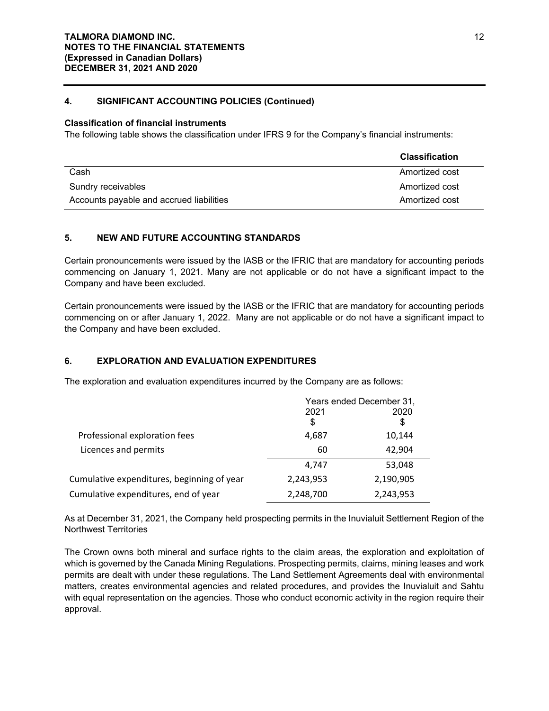#### **Classification of financial instruments**

The following table shows the classification under IFRS 9 for the Company's financial instruments:

|                                          | <b>Classification</b> |
|------------------------------------------|-----------------------|
| Cash                                     | Amortized cost        |
| Sundry receivables                       | Amortized cost        |
| Accounts payable and accrued liabilities | Amortized cost        |

# **5. NEW AND FUTURE ACCOUNTING STANDARDS**

Certain pronouncements were issued by the IASB or the IFRIC that are mandatory for accounting periods commencing on January 1, 2021. Many are not applicable or do not have a significant impact to the Company and have been excluded.

Certain pronouncements were issued by the IASB or the IFRIC that are mandatory for accounting periods commencing on or after January 1, 2022. Many are not applicable or do not have a significant impact to the Company and have been excluded.

# **6. EXPLORATION AND EVALUATION EXPENDITURES**

The exploration and evaluation expenditures incurred by the Company are as follows:

|                                            | Years ended December 31, |           |
|--------------------------------------------|--------------------------|-----------|
|                                            | 2021                     | 2020      |
|                                            | \$                       | \$        |
| Professional exploration fees              | 4,687                    | 10,144    |
| Licences and permits                       | 60                       | 42,904    |
|                                            | 4.747                    | 53,048    |
| Cumulative expenditures, beginning of year | 2,243,953                | 2,190,905 |
| Cumulative expenditures, end of year       | 2,248,700                | 2,243,953 |

As at December 31, 2021, the Company held prospecting permits in the Inuvialuit Settlement Region of the Northwest Territories

The Crown owns both mineral and surface rights to the claim areas, the exploration and exploitation of which is governed by the Canada Mining Regulations. Prospecting permits, claims, mining leases and work permits are dealt with under these regulations. The Land Settlement Agreements deal with environmental matters, creates environmental agencies and related procedures, and provides the Inuvialuit and Sahtu with equal representation on the agencies. Those who conduct economic activity in the region require their approval.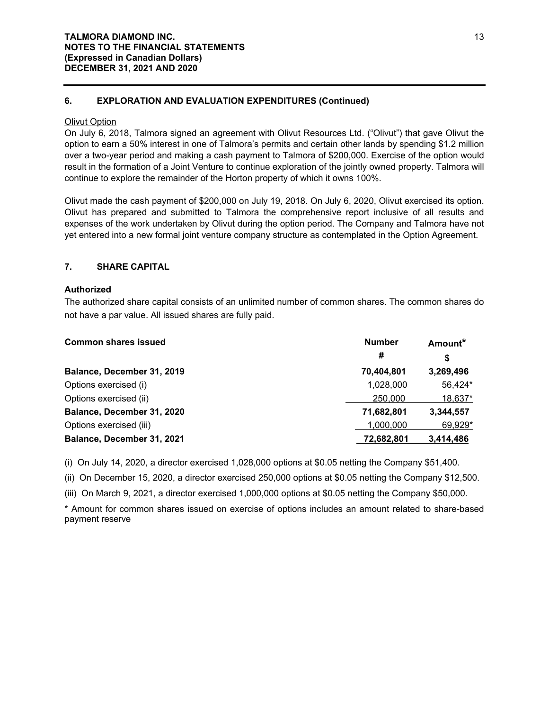# **6. EXPLORATION AND EVALUATION EXPENDITURES (Continued)**

#### Olivut Option

On July 6, 2018, Talmora signed an agreement with Olivut Resources Ltd. ("Olivut") that gave Olivut the option to earn a 50% interest in one of Talmora's permits and certain other lands by spending \$1.2 million over a two-year period and making a cash payment to Talmora of \$200,000. Exercise of the option would result in the formation of a Joint Venture to continue exploration of the jointly owned property. Talmora will continue to explore the remainder of the Horton property of which it owns 100%.

Olivut made the cash payment of \$200,000 on July 19, 2018. On July 6, 2020, Olivut exercised its option. Olivut has prepared and submitted to Talmora the comprehensive report inclusive of all results and expenses of the work undertaken by Olivut during the option period. The Company and Talmora have not yet entered into a new formal joint venture company structure as contemplated in the Option Agreement.

# **7. SHARE CAPITAL**

#### **Authorized**

The authorized share capital consists of an unlimited number of common shares. The common shares do not have a par value. All issued shares are fully paid.

| <b>Common shares issued</b> | <b>Number</b>     | Amount*   |
|-----------------------------|-------------------|-----------|
|                             | #                 | S         |
| Balance, December 31, 2019  | 70,404,801        | 3,269,496 |
| Options exercised (i)       | 1,028,000         | 56,424*   |
| Options exercised (ii)      | 250,000           | 18,637*   |
| Balance, December 31, 2020  | 71,682,801        | 3.344.557 |
| Options exercised (iii)     | 1.000.000         | 69,929*   |
| Balance, December 31, 2021  | <u>72.682.801</u> | 3.414.486 |

(i) On July 14, 2020, a director exercised 1,028,000 options at \$0.05 netting the Company \$51,400.

(ii) On December 15, 2020, a director exercised 250,000 options at \$0.05 netting the Company \$12,500.

(iii) On March 9, 2021, a director exercised 1,000,000 options at \$0.05 netting the Company \$50,000.

\* Amount for common shares issued on exercise of options includes an amount related to share-based payment reserve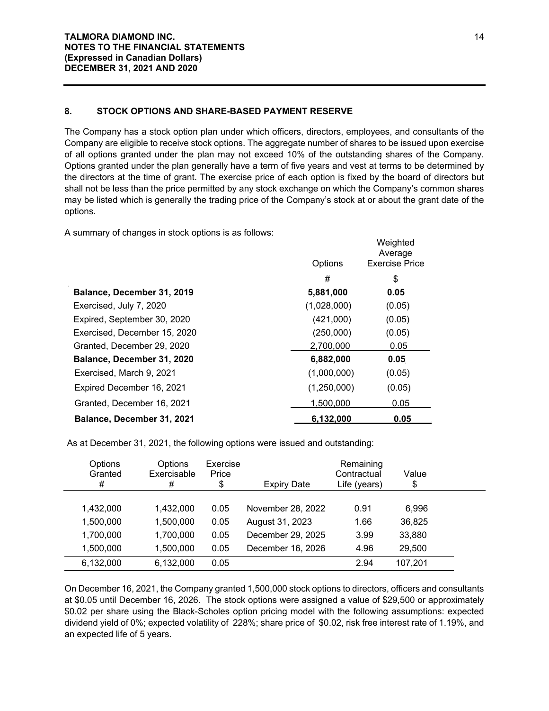# **8. STOCK OPTIONS AND SHARE-BASED PAYMENT RESERVE**

The Company has a stock option plan under which officers, directors, employees, and consultants of the Company are eligible to receive stock options. The aggregate number of shares to be issued upon exercise of all options granted under the plan may not exceed 10% of the outstanding shares of the Company. Options granted under the plan generally have a term of five years and vest at terms to be determined by the directors at the time of grant. The exercise price of each option is fixed by the board of directors but shall not be less than the price permitted by any stock exchange on which the Company's common shares may be listed which is generally the trading price of the Company's stock at or about the grant date of the options.

A summary of changes in stock options is as follows:

|                              | Options     | .<br>Average<br><b>Exercise Price</b> |
|------------------------------|-------------|---------------------------------------|
|                              | #           | \$                                    |
| Balance, December 31, 2019   | 5,881,000   | 0.05                                  |
| Exercised, July 7, 2020      | (1,028,000) | (0.05)                                |
| Expired, September 30, 2020  | (421,000)   | (0.05)                                |
| Exercised, December 15, 2020 | (250,000)   | (0.05)                                |
| Granted, December 29, 2020   | 2,700,000   | 0.05                                  |
| Balance, December 31, 2020   | 6,882,000   | 0.05                                  |
| Exercised, March 9, 2021     | (1,000,000) | (0.05)                                |
| Expired December 16, 2021    | (1,250,000) | (0.05)                                |
| Granted, December 16, 2021   | 1,500,000   | 0.05                                  |
| Balance, December 31, 2021   | 6.132.000   | 0.05                                  |

| Options<br>Granted | Options<br>Exercisable | Exercise<br>Price |                    | Remaining<br>Contractual | Value   |  |
|--------------------|------------------------|-------------------|--------------------|--------------------------|---------|--|
| #                  | #                      | \$                | <b>Expiry Date</b> | Life (years)             | \$      |  |
|                    |                        |                   |                    |                          |         |  |
| 1,432,000          | 1,432,000              | 0.05              | November 28, 2022  | 0.91                     | 6,996   |  |
| 1,500,000          | 1,500,000              | 0.05              | August 31, 2023    | 1.66                     | 36,825  |  |
| 1,700,000          | 1,700,000              | 0.05              | December 29, 2025  | 3.99                     | 33,880  |  |
| 1,500,000          | 1,500,000              | 0.05              | December 16, 2026  | 4.96                     | 29,500  |  |
| 6,132,000          | 6,132,000              | 0.05              |                    | 2.94                     | 107,201 |  |

As at December 31, 2021, the following options were issued and outstanding:

On December 16, 2021, the Company granted 1,500,000 stock options to directors, officers and consultants at \$0.05 until December 16, 2026. The stock options were assigned a value of \$29,500 or approximately \$0.02 per share using the Black-Scholes option pricing model with the following assumptions: expected dividend yield of 0%; expected volatility of 228%; share price of \$0.02, risk free interest rate of 1.19%, and an expected life of 5 years.

Weighted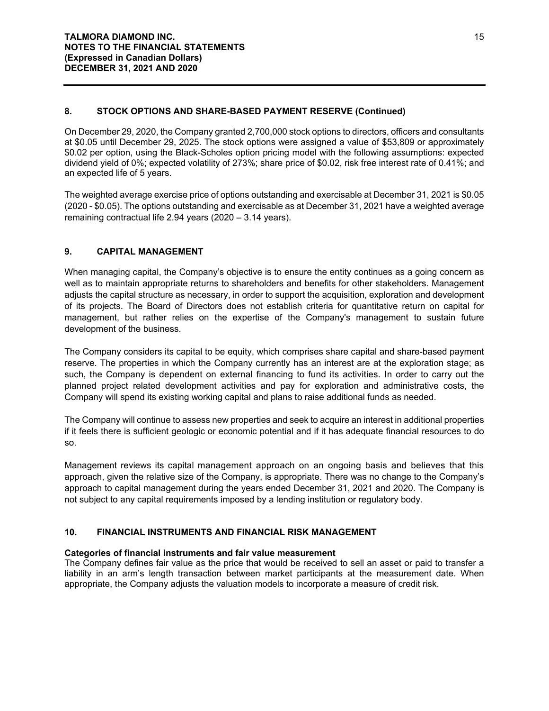# **8. STOCK OPTIONS AND SHARE-BASED PAYMENT RESERVE (Continued)**

On December 29, 2020, the Company granted 2,700,000 stock options to directors, officers and consultants at \$0.05 until December 29, 2025. The stock options were assigned a value of \$53,809 or approximately \$0.02 per option, using the Black-Scholes option pricing model with the following assumptions: expected dividend yield of 0%; expected volatility of 273%; share price of \$0.02, risk free interest rate of 0.41%; and an expected life of 5 years.

The weighted average exercise price of options outstanding and exercisable at December 31, 2021 is \$0.05 (2020 - \$0.05). The options outstanding and exercisable as at December 31, 2021 have a weighted average remaining contractual life 2.94 years (2020 – 3.14 years).

# **9. CAPITAL MANAGEMENT**

When managing capital, the Company's objective is to ensure the entity continues as a going concern as well as to maintain appropriate returns to shareholders and benefits for other stakeholders. Management adjusts the capital structure as necessary, in order to support the acquisition, exploration and development of its projects. The Board of Directors does not establish criteria for quantitative return on capital for management, but rather relies on the expertise of the Company's management to sustain future development of the business.

The Company considers its capital to be equity, which comprises share capital and share-based payment reserve. The properties in which the Company currently has an interest are at the exploration stage; as such, the Company is dependent on external financing to fund its activities. In order to carry out the planned project related development activities and pay for exploration and administrative costs, the Company will spend its existing working capital and plans to raise additional funds as needed.

The Company will continue to assess new properties and seek to acquire an interest in additional properties if it feels there is sufficient geologic or economic potential and if it has adequate financial resources to do so.

Management reviews its capital management approach on an ongoing basis and believes that this approach, given the relative size of the Company, is appropriate. There was no change to the Company's approach to capital management during the years ended December 31, 2021 and 2020. The Company is not subject to any capital requirements imposed by a lending institution or regulatory body.

# **10. FINANCIAL INSTRUMENTS AND FINANCIAL RISK MANAGEMENT**

# **Categories of financial instruments and fair value measurement**

The Company defines fair value as the price that would be received to sell an asset or paid to transfer a liability in an arm's length transaction between market participants at the measurement date. When appropriate, the Company adjusts the valuation models to incorporate a measure of credit risk.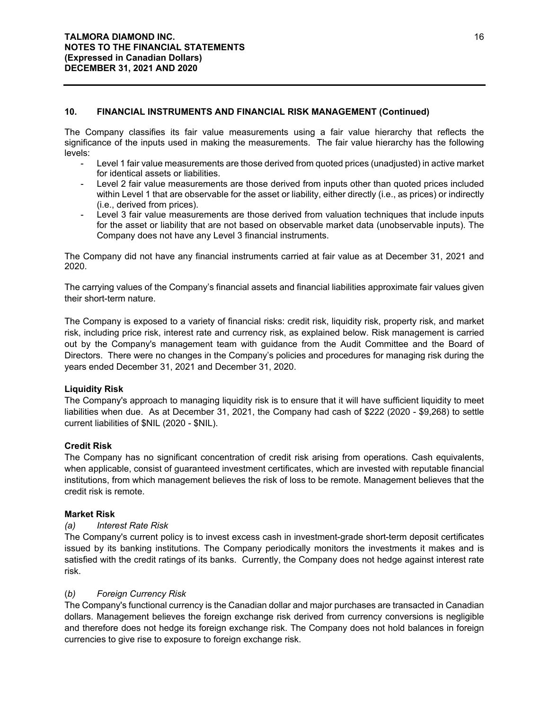# **10. FINANCIAL INSTRUMENTS AND FINANCIAL RISK MANAGEMENT (Continued)**

The Company classifies its fair value measurements using a fair value hierarchy that reflects the significance of the inputs used in making the measurements. The fair value hierarchy has the following levels:

- Level 1 fair value measurements are those derived from quoted prices (unadjusted) in active market for identical assets or liabilities.
- Level 2 fair value measurements are those derived from inputs other than quoted prices included within Level 1 that are observable for the asset or liability, either directly (i.e., as prices) or indirectly (i.e., derived from prices).
- Level 3 fair value measurements are those derived from valuation techniques that include inputs for the asset or liability that are not based on observable market data (unobservable inputs). The Company does not have any Level 3 financial instruments.

The Company did not have any financial instruments carried at fair value as at December 31, 2021 and 2020.

The carrying values of the Company's financial assets and financial liabilities approximate fair values given their short-term nature.

The Company is exposed to a variety of financial risks: credit risk, liquidity risk, property risk, and market risk, including price risk, interest rate and currency risk, as explained below. Risk management is carried out by the Company's management team with guidance from the Audit Committee and the Board of Directors. There were no changes in the Company's policies and procedures for managing risk during the years ended December 31, 2021 and December 31, 2020.

# **Liquidity Risk**

The Company's approach to managing liquidity risk is to ensure that it will have sufficient liquidity to meet liabilities when due. As at December 31, 2021, the Company had cash of \$222 (2020 - \$9,268) to settle current liabilities of \$NIL (2020 - \$NIL).

# **Credit Risk**

The Company has no significant concentration of credit risk arising from operations. Cash equivalents, when applicable, consist of guaranteed investment certificates, which are invested with reputable financial institutions, from which management believes the risk of loss to be remote. Management believes that the credit risk is remote.

# **Market Risk**

# *(a) Interest Rate Risk*

The Company's current policy is to invest excess cash in investment-grade short-term deposit certificates issued by its banking institutions. The Company periodically monitors the investments it makes and is satisfied with the credit ratings of its banks. Currently, the Company does not hedge against interest rate risk.

# (*b) Foreign Currency Risk*

The Company's functional currency is the Canadian dollar and major purchases are transacted in Canadian dollars. Management believes the foreign exchange risk derived from currency conversions is negligible and therefore does not hedge its foreign exchange risk. The Company does not hold balances in foreign currencies to give rise to exposure to foreign exchange risk.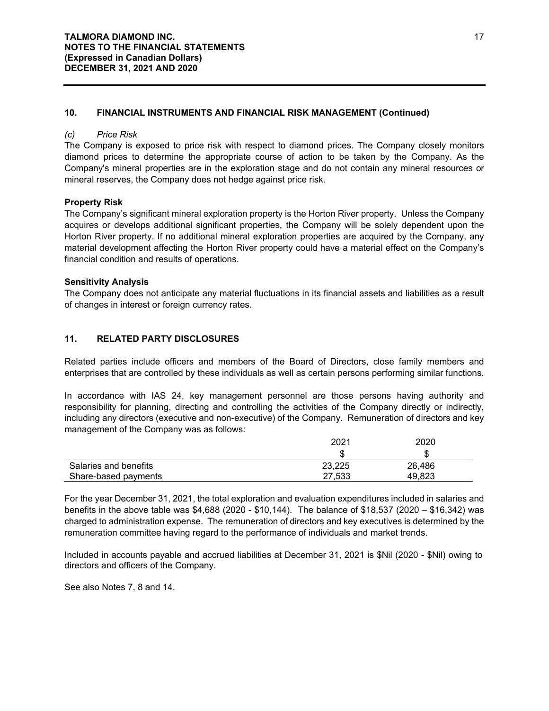# **10. FINANCIAL INSTRUMENTS AND FINANCIAL RISK MANAGEMENT (Continued)**

#### *(c) Price Risk*

The Company is exposed to price risk with respect to diamond prices. The Company closely monitors diamond prices to determine the appropriate course of action to be taken by the Company. As the Company's mineral properties are in the exploration stage and do not contain any mineral resources or mineral reserves, the Company does not hedge against price risk.

# **Property Risk**

The Company's significant mineral exploration property is the Horton River property. Unless the Company acquires or develops additional significant properties, the Company will be solely dependent upon the Horton River property. If no additional mineral exploration properties are acquired by the Company, any material development affecting the Horton River property could have a material effect on the Company's financial condition and results of operations.

# **Sensitivity Analysis**

The Company does not anticipate any material fluctuations in its financial assets and liabilities as a result of changes in interest or foreign currency rates.

# **11. RELATED PARTY DISCLOSURES**

Related parties include officers and members of the Board of Directors, close family members and enterprises that are controlled by these individuals as well as certain persons performing similar functions.

In accordance with IAS 24, key management personnel are those persons having authority and responsibility for planning, directing and controlling the activities of the Company directly or indirectly, including any directors (executive and non-executive) of the Company. Remuneration of directors and key management of the Company was as follows:

|                       | 2021   | 2020   |
|-----------------------|--------|--------|
|                       | ጦ      |        |
| Salaries and benefits | 23.225 | 26.486 |
| Share-based payments  | 27.533 | 49.823 |

For the year December 31, 2021, the total exploration and evaluation expenditures included in salaries and benefits in the above table was \$4,688 (2020 - \$10,144). The balance of \$18,537 (2020 – \$16,342) was charged to administration expense. The remuneration of directors and key executives is determined by the remuneration committee having regard to the performance of individuals and market trends.

Included in accounts payable and accrued liabilities at December 31, 2021 is \$Nil (2020 - \$Nil) owing to directors and officers of the Company.

See also Notes 7, 8 and 14.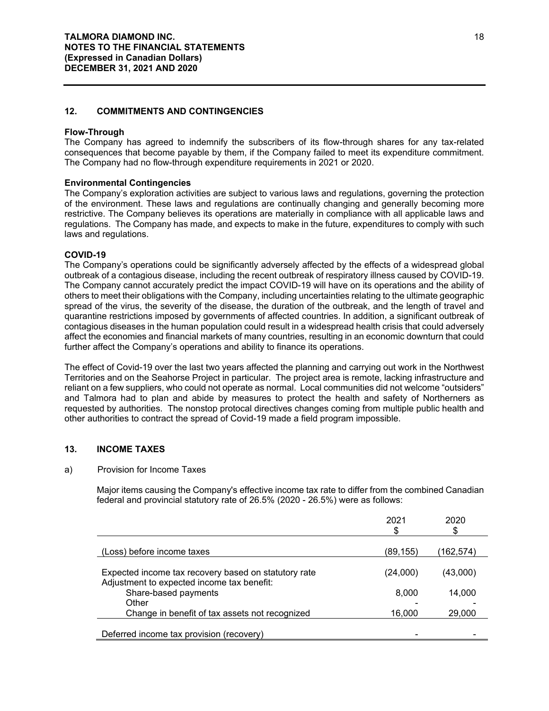# **12. COMMITMENTS AND CONTINGENCIES**

#### **Flow-Through**

The Company has agreed to indemnify the subscribers of its flow-through shares for any tax-related consequences that become payable by them, if the Company failed to meet its expenditure commitment. The Company had no flow-through expenditure requirements in 2021 or 2020.

#### **Environmental Contingencies**

The Company's exploration activities are subject to various laws and regulations, governing the protection of the environment. These laws and regulations are continually changing and generally becoming more restrictive. The Company believes its operations are materially in compliance with all applicable laws and regulations. The Company has made, and expects to make in the future, expenditures to comply with such laws and regulations.

#### **COVID-19**

The Company's operations could be significantly adversely affected by the effects of a widespread global outbreak of a contagious disease, including the recent outbreak of respiratory illness caused by COVID-19. The Company cannot accurately predict the impact COVID-19 will have on its operations and the ability of others to meet their obligations with the Company, including uncertainties relating to the ultimate geographic spread of the virus, the severity of the disease, the duration of the outbreak, and the length of travel and quarantine restrictions imposed by governments of affected countries. In addition, a significant outbreak of contagious diseases in the human population could result in a widespread health crisis that could adversely affect the economies and financial markets of many countries, resulting in an economic downturn that could further affect the Company's operations and ability to finance its operations.

The effect of Covid-19 over the last two years affected the planning and carrying out work in the Northwest Territories and on the Seahorse Project in particular. The project area is remote, lacking infrastructure and reliant on a few suppliers, who could not operate as normal. Local communities did not welcome "outsiders" and Talmora had to plan and abide by measures to protect the health and safety of Northerners as requested by authorities. The nonstop protocal directives changes coming from multiple public health and other authorities to contract the spread of Covid-19 made a field program impossible.

# **13. INCOME TAXES**

#### a) Provision for Income Taxes

Major items causing the Company's effective income tax rate to differ from the combined Canadian federal and provincial statutory rate of 26.5% (2020 - 26.5%) were as follows:

|                                                                                                    | 2021      | 2020<br>\$ |
|----------------------------------------------------------------------------------------------------|-----------|------------|
| (Loss) before income taxes                                                                         | (89, 155) | (162,574)  |
| Expected income tax recovery based on statutory rate<br>Adjustment to expected income tax benefit: | (24,000)  | (43,000)   |
| Share-based payments                                                                               | 8,000     | 14,000     |
| Other<br>Change in benefit of tax assets not recognized                                            | 16,000    | 29,000     |
| Deferred income tax provision (recovery)                                                           |           |            |